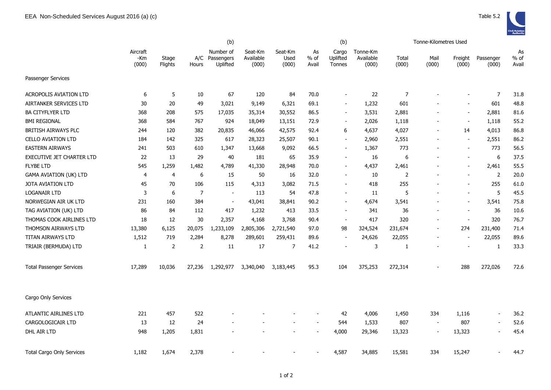|                                  |                          | (b)              |                |                                         |                               | (b)                      |                       |                             |                                |                | Tonne-Kilometres Used    |                          |                          |                     |
|----------------------------------|--------------------------|------------------|----------------|-----------------------------------------|-------------------------------|--------------------------|-----------------------|-----------------------------|--------------------------------|----------------|--------------------------|--------------------------|--------------------------|---------------------|
|                                  | Aircraft<br>-Km<br>(000) | Stage<br>Flights | Hours          | Number of<br>A/C Passengers<br>Uplifted | Seat-Km<br>Available<br>(000) | Seat-Km<br>Used<br>(000) | As<br>$%$ of<br>Avail | Cargo<br>Uplifted<br>Tonnes | Tonne-Km<br>Available<br>(000) | Total<br>(000) | Mail<br>(000)            | Freight<br>(000)         | Passenger<br>(000)       | As<br>% of<br>Avail |
| Passenger Services               |                          |                  |                |                                         |                               |                          |                       |                             |                                |                |                          |                          |                          |                     |
| <b>ACROPOLIS AVIATION LTD</b>    | 6                        | 5                | 10             | 67                                      | 120                           | 84                       | 70.0                  | $\blacksquare$              | 22                             | $\overline{7}$ |                          | $\blacksquare$           | $\overline{7}$           | 31.8                |
| AIRTANKER SERVICES LTD           | 30                       | 20               | 49             | 3,021                                   | 9,149                         | 6,321                    | 69.1                  | $\overline{\phantom{0}}$    | 1,232                          | 601            |                          | $\overline{\phantom{a}}$ | 601                      | 48.8                |
| BA CITYFLYER LTD                 | 368                      | 208              | 575            | 17,035                                  | 35,314                        | 30,552                   | 86.5                  | $\blacksquare$              | 3,531                          | 2,881          |                          | $\overline{\phantom{a}}$ | 2,881                    | 81.6                |
| <b>BMI REGIONAL</b>              | 368                      | 584              | 767            | 924                                     | 18,049                        | 13,151                   | 72.9                  | $\blacksquare$              | 2,026                          | 1,118          |                          | $\overline{\phantom{a}}$ | 1,118                    | 55.2                |
| BRITISH AIRWAYS PLC              | 244                      | 120              | 382            | 20,835                                  | 46,066                        | 42,575                   | 92.4                  | 6                           | 4,637                          | 4,027          |                          | 14                       | 4,013                    | 86.8                |
| <b>CELLO AVIATION LTD</b>        | 184                      | 142              | 325            | 617                                     | 28,323                        | 25,507                   | 90.1                  | $\overline{\phantom{0}}$    | 2,960                          | 2,551          |                          | $\overline{\phantom{a}}$ | 2,551                    | 86.2                |
| <b>EASTERN AIRWAYS</b>           | 241                      | 503              | 610            | 1,347                                   | 13,668                        | 9,092                    | 66.5                  | $\overline{\phantom{0}}$    | 1,367                          | 773            |                          | $\blacksquare$           | 773                      | 56.5                |
| EXECUTIVE JET CHARTER LTD        | 22                       | 13               | 29             | 40                                      | 181                           | 65                       | 35.9                  | ÷,                          | 16                             | 6              |                          | $\blacksquare$           | 6                        | 37.5                |
| <b>FLYBE LTD</b>                 | 545                      | 1,259            | 1,482          | 4,789                                   | 41,330                        | 28,948                   | 70.0                  | $\overline{a}$              | 4,437                          | 2,461          |                          | $\overline{\phantom{a}}$ | 2,461                    | 55.5                |
| <b>GAMA AVIATION (UK) LTD</b>    | 4                        | 4                | 6              | 15                                      | 50                            | 16                       | 32.0                  | $\overline{\phantom{0}}$    | 10                             | $\overline{2}$ |                          | $\overline{\phantom{a}}$ | $\overline{2}$           | 20.0                |
| JOTA AVIATION LTD                | 45                       | 70               | 106            | 115                                     | 4,313                         | 3,082                    | 71.5                  | $\overline{\phantom{0}}$    | 418                            | 255            |                          | $\overline{\phantom{a}}$ | 255                      | 61.0                |
| <b>LOGANAIR LTD</b>              | 3                        | 6                | $\overline{7}$ | $\blacksquare$                          | 113                           | 54                       | 47.8                  | $\overline{\phantom{0}}$    | 11                             | 5              |                          | $\overline{\phantom{a}}$ | 5                        | 45.5                |
| NORWEGIAN AIR UK LTD             | 231                      | 160              | 384            | $\overline{\phantom{a}}$                | 43,041                        | 38,841                   | 90.2                  | Ξ.                          | 4,674                          | 3,541          |                          | $\overline{\phantom{a}}$ | 3,541                    | 75.8                |
| TAG AVIATION (UK) LTD            | 86                       | 84               | 112            | 417                                     | 1,232                         | 413                      | 33.5                  | $\blacksquare$              | 341                            | 36             |                          | $\overline{\phantom{a}}$ | 36                       | 10.6                |
| THOMAS COOK AIRLINES LTD         | 18                       | 12               | 30             | 2,357                                   | 4,168                         | 3,768                    | 90.4                  | $\blacksquare$              | 417                            | 320            |                          | $\sim$                   | 320                      | 76.7                |
| THOMSON AIRWAYS LTD              | 13,380                   | 6,125            | 20,075         | 1,233,109                               | 2,805,306                     | 2,721,540                | 97.0                  | 98                          | 324,524                        | 231,674        |                          | 274                      | 231,400                  | 71.4                |
| TITAN AIRWAYS LTD                | 1,512                    | 719              | 2,284          | 8,278                                   | 289,601                       | 259,431                  | 89.6                  | $\overline{a}$              | 24,626                         | 22,055         |                          | $\overline{\phantom{a}}$ | 22,055                   | 89.6                |
| TRIAIR (BERMUDA) LTD             | 1                        | $\mathbf 2$      | 2              | 11                                      | 17                            | 7                        | 41.2                  |                             | $\mathsf 3$                    | 1              |                          | $\overline{\phantom{a}}$ | $\mathbf{1}$             | 33.3                |
| <b>Total Passenger Services</b>  | 17,289                   | 10,036           | 27,236         | 1,292,977                               | 3,340,040                     | 3,183,445                | 95.3                  | 104                         | 375,253                        | 272,314        |                          | 288                      | 272,026                  | 72.6                |
| Cargo Only Services              |                          |                  |                |                                         |                               |                          |                       |                             |                                |                |                          |                          |                          |                     |
| ATLANTIC AIRLINES LTD            | 221                      | 457              | 522            |                                         |                               |                          |                       | 42                          | 4,006                          | 1,450          | 334                      | 1,116                    | $\overline{\phantom{a}}$ | 36.2                |
| CARGOLOGICAIR LTD                | 13                       | 12               | 24             |                                         |                               |                          |                       | 544                         | 1,533                          | 807            | $\overline{\phantom{a}}$ | 807                      | $\overline{\phantom{a}}$ | 52.6                |
| DHL AIR LTD                      | 948                      | 1,205            | 1,831          |                                         |                               | $\blacksquare$           | $\sim$                | 4,000                       | 29,346                         | 13,323         | $\sim$                   | 13,323                   | $\overline{\phantom{a}}$ | 45.4                |
| <b>Total Cargo Only Services</b> | 1,182                    | 1,674            | 2,378          |                                         |                               |                          |                       | 4,587                       | 34,885                         | 15,581         | 334                      | 15,247                   |                          | 44.7                |